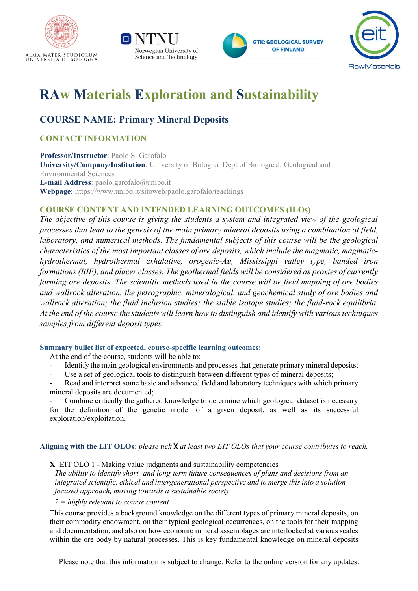







# **RAw Materials Exploration and Sustainability**

# **COURSE NAME: Primary Mineral Deposits**

## **CONTACT INFORMATION**

**Professor/Instructor**: Paolo S. Garofalo **University/Company/Institution**: University of Bologna Dept of Biological, Geological and Environmental Sciences **E-mail Address**: paolo.garofalo@unibo.it **Webpage:** https://www.unibo.it/sitoweb/paolo.garofalo/teachings

### **COURSE CONTENT AND INTENDED LEARNING OUTCOMES (ILOs)**

*The objective of this course is giving the students a system and integrated view of the geological processes that lead to the genesis of the main primary mineral deposits using a combination of field, laboratory, and numerical methods. The fundamental subjects of this course will be the geological characteristics of the most important classes of ore deposits, which include the magmatic, magmatichydrothermal, hydrothermal exhalative, orogenic-Au, Mississippi valley type, banded iron formations (BIF), and placer classes. The geothermal fields will be considered as proxies of currently forming ore deposits. The scientific methods used in the course will be field mapping of ore bodies and wallrock alteration, the petrographic, mineralogical, and geochemical study of ore bodies and wallrock alteration; the fluid inclusion studies; the stable isotope studies; the fluid-rock equilibria. At the end of the course the students will learn how to distinguish and identify with various techniques samples from different deposit types.* 

#### **Summary bullet list of expected, course-specific learning outcomes:**

At the end of the course, students will be able to:

- Identify the main geological environments and processes that generate primary mineral deposits;
- Use a set of geological tools to distinguish between different types of mineral deposits;
- Read and interpret some basic and advanced field and laboratory techniques with which primary mineral deposits are documented;

Combine critically the gathered knowledge to determine which geological dataset is necessary for the definition of the genetic model of a given deposit, as well as its successful exploration/exploitation.

**Aligning with the EIT OLOs:** *please tick* X *at least two EIT OLOs that your course contributes to reach.*

**X** EIT OLO 1 - Making value judgments and sustainability competencies

*The ability to identify short- and long-term future consequences of plans and decisions from an integrated scientific, ethical and intergenerational perspective and to merge this into a solutionfocused approach, moving towards a sustainable society.*

#### *2 = highly relevant to course content*

This course provides a background knowledge on the different types of primary mineral deposits, on their commodity endowment, on their typical geological occurrences, on the tools for their mapping and documentation, and also on how economic mineral assemblages are interlocked at various scales within the ore body by natural processes. This is key fundamental knowledge on mineral deposits

Please note that this information is subject to change. Refer to the online version for any updates.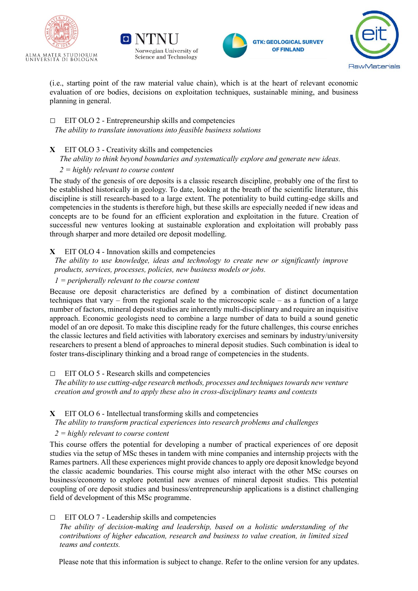







(i.e., starting point of the raw material value chain), which is at the heart of relevant economic evaluation of ore bodies, decisions on exploitation techniques, sustainable mining, and business planning in general.

#### $\Box$  EIT OLO 2 - Entrepreneurship skills and competencies *The ability to translate innovations into feasible business solutions*

- **X** EIT OLO 3 Creativity skills and competencies
	- *The ability to think beyond boundaries and systematically explore and generate new ideas.*

#### *2 = highly relevant to course content*

The study of the genesis of ore deposits is a classic research discipline, probably one of the first to be established historically in geology. To date, looking at the breath of the scientific literature, this discipline is still research-based to a large extent. The potentiality to build cutting-edge skills and competencies in the students is therefore high, but these skills are especially needed if new ideas and concepts are to be found for an efficient exploration and exploitation in the future. Creation of successful new ventures looking at sustainable exploration and exploitation will probably pass through sharper and more detailed ore deposit modelling.

#### **X** EIT OLO 4 - Innovation skills and competencies

*The ability to use knowledge, ideas and technology to create new or significantly improve products, services, processes, policies, new business models or jobs.*

#### *1 = peripherally relevant to the course content*

Because ore deposit characteristics are defined by a combination of distinct documentation techniques that vary – from the regional scale to the microscopic scale – as a function of a large number of factors, mineral deposit studies are inherently multi-disciplinary and require an inquisitive approach. Economic geologists need to combine a large number of data to build a sound genetic model of an ore deposit. To make this discipline ready for the future challenges, this course enriches the classic lectures and field activities with laboratory exercises and seminars by industry/university researchers to present a blend of approaches to mineral deposit studies. Such combination is ideal to foster trans-disciplinary thinking and a broad range of competencies in the students.

#### $\Box$  EIT OLO 5 - Research skills and competencies

*The ability to use cutting-edge research methods, processes and techniques towards new venture creation and growth and to apply these also in cross-disciplinary teams and contexts*

#### **X** EIT OLO 6 - Intellectual transforming skills and competencies

*The ability to transform practical experiences into research problems and challenges*

*2 = highly relevant to course content*

This course offers the potential for developing a number of practical experiences of ore deposit studies via the setup of MSc theses in tandem with mine companies and internship projects with the Rames partners. All these experiences might provide chances to apply ore deposit knowledge beyond the classic academic boundaries. This course might also interact with the other MSc courses on business/economy to explore potential new avenues of mineral deposit studies. This potential coupling of ore deposit studies and business/entrepreneurship applications is a distinct challenging field of development of this MSc programme.

#### $\Box$  EIT OLO 7 - Leadership skills and competencies

*The ability of decision-making and leadership, based on a holistic understanding of the contributions of higher education, research and business to value creation, in limited sized teams and contexts.*

Please note that this information is subject to change. Refer to the online version for any updates.